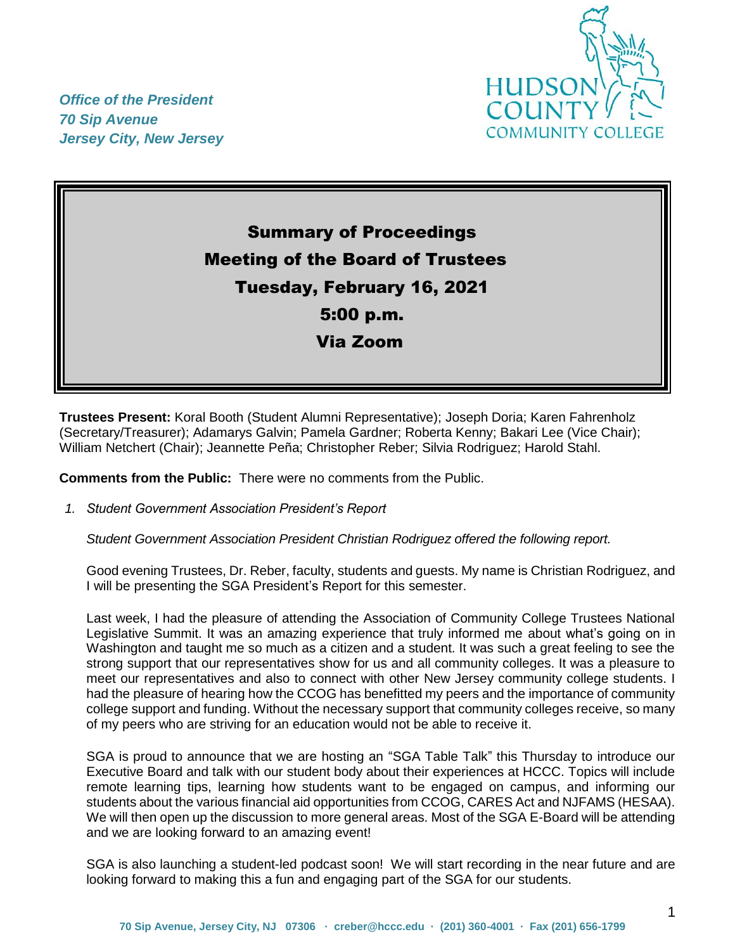

*Office of the President 70 Sip Avenue Jersey City, New Jersey*

# Summary of Proceedings Meeting of the Board of Trustees Tuesday, February 16, 2021 5:00 p.m. Via Zoom

**Trustees Present:** Koral Booth (Student Alumni Representative); Joseph Doria; Karen Fahrenholz (Secretary/Treasurer); Adamarys Galvin; Pamela Gardner; Roberta Kenny; Bakari Lee (Vice Chair); William Netchert (Chair); Jeannette Peña; Christopher Reber; Silvia Rodriguez; Harold Stahl.

**Comments from the Public:** There were no comments from the Public.

*1. Student Government Association President's Report* 

*Student Government Association President Christian Rodriguez offered the following report.*

Good evening Trustees, Dr. Reber, faculty, students and guests. My name is Christian Rodriguez, and I will be presenting the SGA President's Report for this semester.

Last week, I had the pleasure of attending the Association of Community College Trustees National Legislative Summit. It was an amazing experience that truly informed me about what's going on in Washington and taught me so much as a citizen and a student. It was such a great feeling to see the strong support that our representatives show for us and all community colleges. It was a pleasure to meet our representatives and also to connect with other New Jersey community college students. I had the pleasure of hearing how the CCOG has benefitted my peers and the importance of community college support and funding. Without the necessary support that community colleges receive, so many of my peers who are striving for an education would not be able to receive it.

SGA is proud to announce that we are hosting an "SGA Table Talk" this Thursday to introduce our Executive Board and talk with our student body about their experiences at HCCC. Topics will include remote learning tips, learning how students want to be engaged on campus, and informing our students about the various financial aid opportunities from CCOG, CARES Act and NJFAMS (HESAA). We will then open up the discussion to more general areas. Most of the SGA E-Board will be attending and we are looking forward to an amazing event!

SGA is also launching a student-led podcast soon! We will start recording in the near future and are looking forward to making this a fun and engaging part of the SGA for our students.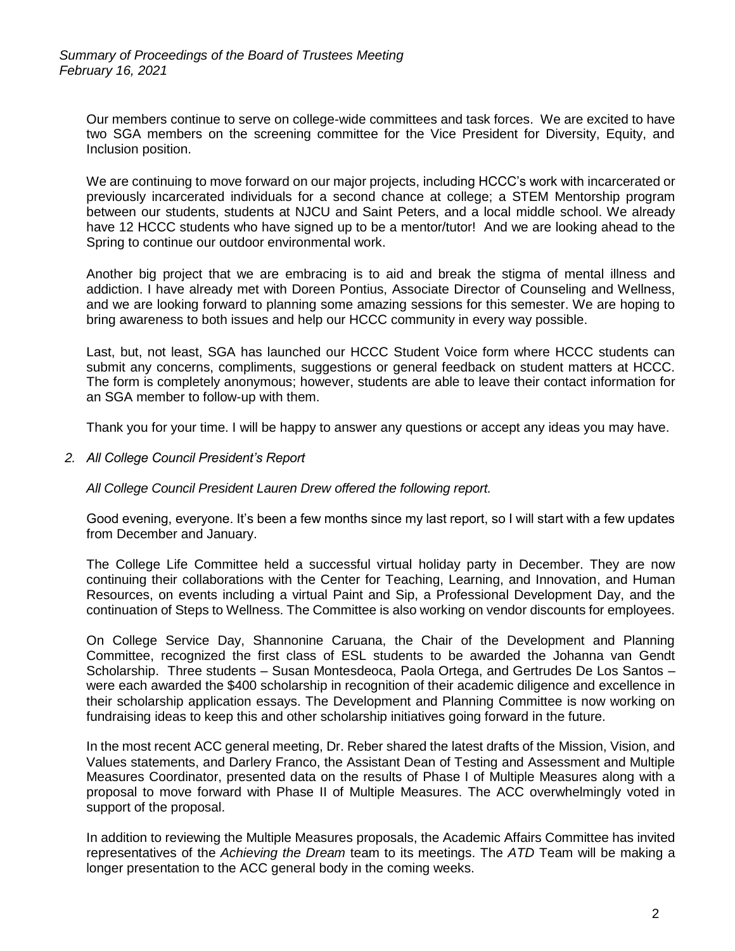Our members continue to serve on college-wide committees and task forces. We are excited to have two SGA members on the screening committee for the Vice President for Diversity, Equity, and Inclusion position.

We are continuing to move forward on our major projects, including HCCC's work with incarcerated or previously incarcerated individuals for a second chance at college; a STEM Mentorship program between our students, students at NJCU and Saint Peters, and a local middle school. We already have 12 HCCC students who have signed up to be a mentor/tutor! And we are looking ahead to the Spring to continue our outdoor environmental work.

Another big project that we are embracing is to aid and break the stigma of mental illness and addiction. I have already met with Doreen Pontius, Associate Director of Counseling and Wellness, and we are looking forward to planning some amazing sessions for this semester. We are hoping to bring awareness to both issues and help our HCCC community in every way possible.

Last, but, not least, SGA has launched our HCCC Student Voice form where HCCC students can submit any concerns, compliments, suggestions or general feedback on student matters at HCCC. The form is completely anonymous; however, students are able to leave their contact information for an SGA member to follow-up with them.

Thank you for your time. I will be happy to answer any questions or accept any ideas you may have.

*2. All College Council President's Report* 

*All College Council President Lauren Drew offered the following report.*

Good evening, everyone. It's been a few months since my last report, so I will start with a few updates from December and January.

The College Life Committee held a successful virtual holiday party in December. They are now continuing their collaborations with the Center for Teaching, Learning, and Innovation, and Human Resources, on events including a virtual Paint and Sip, a Professional Development Day, and the continuation of Steps to Wellness. The Committee is also working on vendor discounts for employees.

On College Service Day, Shannonine Caruana, the Chair of the Development and Planning Committee, recognized the first class of ESL students to be awarded the Johanna van Gendt Scholarship. Three students – Susan Montesdeoca, Paola Ortega, and Gertrudes De Los Santos – were each awarded the \$400 scholarship in recognition of their academic diligence and excellence in their scholarship application essays. The Development and Planning Committee is now working on fundraising ideas to keep this and other scholarship initiatives going forward in the future.

In the most recent ACC general meeting, Dr. Reber shared the latest drafts of the Mission, Vision, and Values statements, and Darlery Franco, the Assistant Dean of Testing and Assessment and Multiple Measures Coordinator, presented data on the results of Phase I of Multiple Measures along with a proposal to move forward with Phase II of Multiple Measures. The ACC overwhelmingly voted in support of the proposal.

In addition to reviewing the Multiple Measures proposals, the Academic Affairs Committee has invited representatives of the *Achieving the Dream* team to its meetings. The *ATD* Team will be making a longer presentation to the ACC general body in the coming weeks.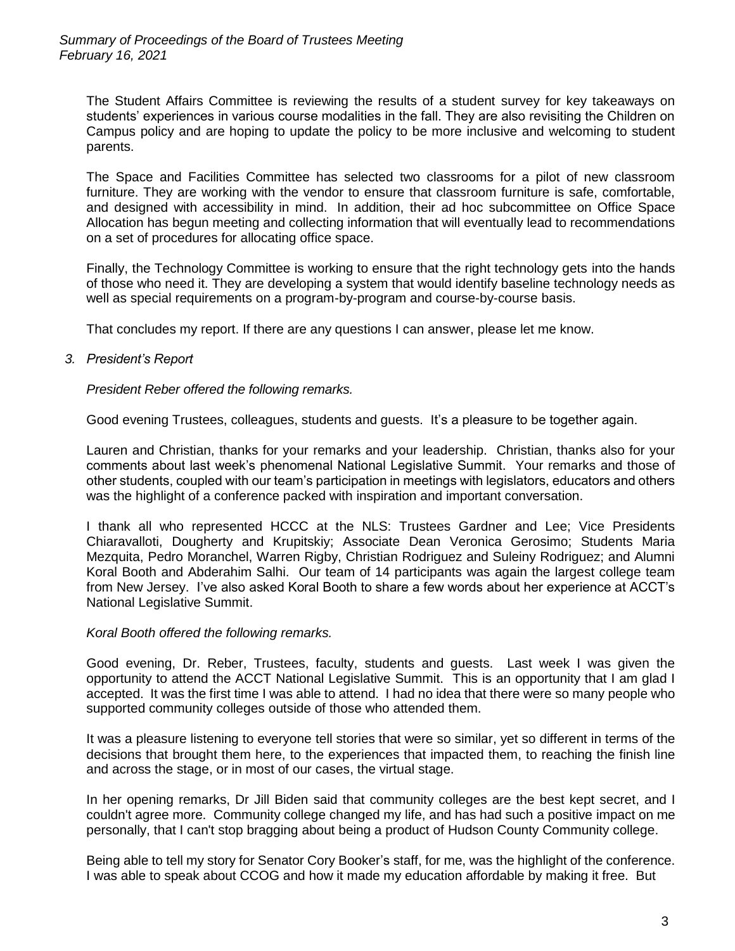The Student Affairs Committee is reviewing the results of a student survey for key takeaways on students' experiences in various course modalities in the fall. They are also revisiting the Children on Campus policy and are hoping to update the policy to be more inclusive and welcoming to student parents.

The Space and Facilities Committee has selected two classrooms for a pilot of new classroom furniture. They are working with the vendor to ensure that classroom furniture is safe, comfortable, and designed with accessibility in mind. In addition, their ad hoc subcommittee on Office Space Allocation has begun meeting and collecting information that will eventually lead to recommendations on a set of procedures for allocating office space.

Finally, the Technology Committee is working to ensure that the right technology gets into the hands of those who need it. They are developing a system that would identify baseline technology needs as well as special requirements on a program-by-program and course-by-course basis.

That concludes my report. If there are any questions I can answer, please let me know.

## *3. President's Report*

#### *President Reber offered the following remarks.*

Good evening Trustees, colleagues, students and guests. It's a pleasure to be together again.

Lauren and Christian, thanks for your remarks and your leadership. Christian, thanks also for your comments about last week's phenomenal National Legislative Summit. Your remarks and those of other students, coupled with our team's participation in meetings with legislators, educators and others was the highlight of a conference packed with inspiration and important conversation.

I thank all who represented HCCC at the NLS: Trustees Gardner and Lee; Vice Presidents Chiaravalloti, Dougherty and Krupitskiy; Associate Dean Veronica Gerosimo; Students Maria Mezquita, Pedro Moranchel, Warren Rigby, Christian Rodriguez and Suleiny Rodriguez; and Alumni Koral Booth and Abderahim Salhi. Our team of 14 participants was again the largest college team from New Jersey. I've also asked Koral Booth to share a few words about her experience at ACCT's National Legislative Summit.

#### *Koral Booth offered the following remarks.*

Good evening, Dr. Reber, Trustees, faculty, students and guests. Last week I was given the opportunity to attend the ACCT National Legislative Summit. This is an opportunity that I am glad I accepted. It was the first time I was able to attend. I had no idea that there were so many people who supported community colleges outside of those who attended them.

It was a pleasure listening to everyone tell stories that were so similar, yet so different in terms of the decisions that brought them here, to the experiences that impacted them, to reaching the finish line and across the stage, or in most of our cases, the virtual stage.

In her opening remarks, Dr Jill Biden said that community colleges are the best kept secret, and I couldn't agree more. Community college changed my life, and has had such a positive impact on me personally, that I can't stop bragging about being a product of Hudson County Community college.

Being able to tell my story for Senator Cory Booker's staff, for me, was the highlight of the conference. I was able to speak about CCOG and how it made my education affordable by making it free. But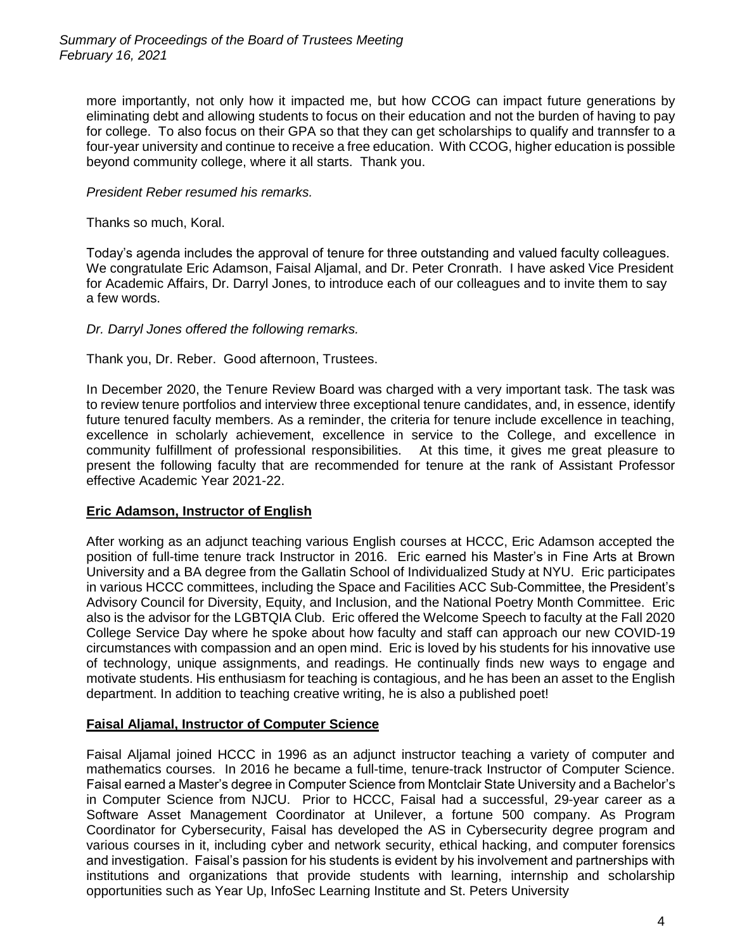more importantly, not only how it impacted me, but how CCOG can impact future generations by eliminating debt and allowing students to focus on their education and not the burden of having to pay for college. To also focus on their GPA so that they can get scholarships to qualify and trannsfer to a four-year university and continue to receive a free education. With CCOG, higher education is possible beyond community college, where it all starts. Thank you.

# *President Reber resumed his remarks.*

Thanks so much, Koral.

Today's agenda includes the approval of tenure for three outstanding and valued faculty colleagues. We congratulate Eric Adamson, Faisal Aljamal, and Dr. Peter Cronrath. I have asked Vice President for Academic Affairs, Dr. Darryl Jones, to introduce each of our colleagues and to invite them to say a few words.

# *Dr. Darryl Jones offered the following remarks.*

Thank you, Dr. Reber. Good afternoon, Trustees.

In December 2020, the Tenure Review Board was charged with a very important task. The task was to review tenure portfolios and interview three exceptional tenure candidates, and, in essence, identify future tenured faculty members. As a reminder, the criteria for tenure include excellence in teaching, excellence in scholarly achievement, excellence in service to the College, and excellence in community fulfillment of professional responsibilities. At this time, it gives me great pleasure to present the following faculty that are recommended for tenure at the rank of Assistant Professor effective Academic Year 2021-22.

# **Eric Adamson, Instructor of English**

After working as an adjunct teaching various English courses at HCCC, Eric Adamson accepted the position of full-time tenure track Instructor in 2016. Eric earned his Master's in Fine Arts at Brown University and a BA degree from the Gallatin School of Individualized Study at NYU. Eric participates in various HCCC committees, including the Space and Facilities ACC Sub-Committee, the President's Advisory Council for Diversity, Equity, and Inclusion, and the National Poetry Month Committee. Eric also is the advisor for the LGBTQIA Club. Eric offered the Welcome Speech to faculty at the Fall 2020 College Service Day where he spoke about how faculty and staff can approach our new COVID-19 circumstances with compassion and an open mind. Eric is loved by his students for his innovative use of technology, unique assignments, and readings. He continually finds new ways to engage and motivate students. His enthusiasm for teaching is contagious, and he has been an asset to the English department. In addition to teaching creative writing, he is also a published poet!

## **Faisal Aljamal, Instructor of Computer Science**

Faisal Aljamal joined HCCC in 1996 as an adjunct instructor teaching a variety of computer and mathematics courses. In 2016 he became a full-time, tenure-track Instructor of Computer Science. Faisal earned a Master's degree in Computer Science from Montclair State University and a Bachelor's in Computer Science from NJCU. Prior to HCCC, Faisal had a successful, 29-year career as a Software Asset Management Coordinator at Unilever, a fortune 500 company. As Program Coordinator for Cybersecurity, Faisal has developed the AS in Cybersecurity degree program and various courses in it, including cyber and network security, ethical hacking, and computer forensics and investigation. Faisal's passion for his students is evident by his involvement and partnerships with institutions and organizations that provide students with learning, internship and scholarship opportunities such as Year Up, InfoSec Learning Institute and St. Peters University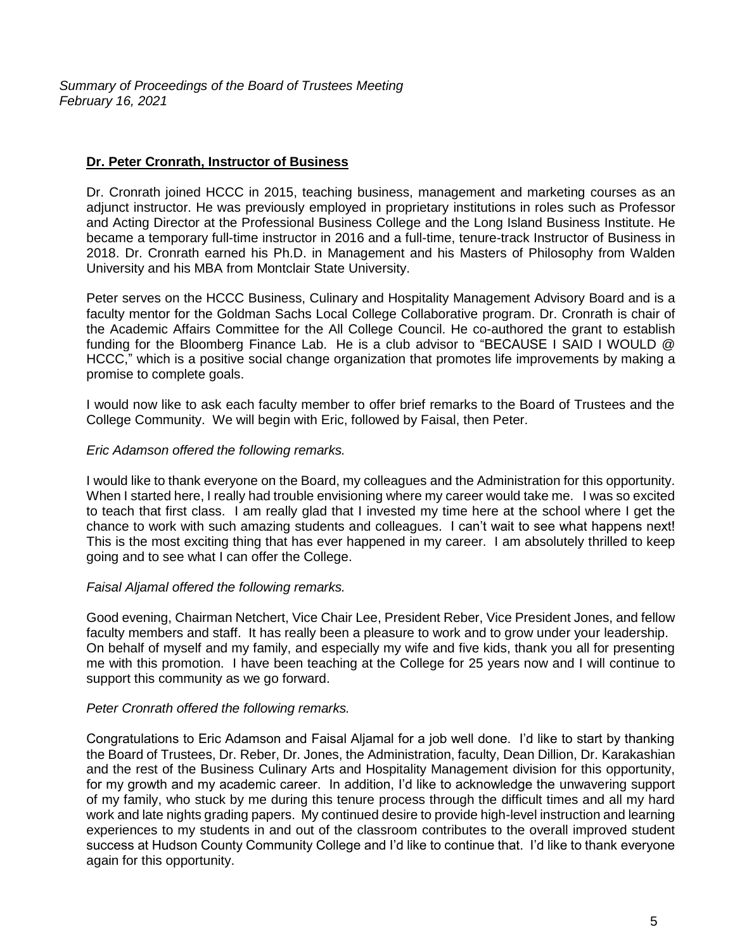*Summary of Proceedings of the Board of Trustees Meeting February 16, 2021*

# **Dr. Peter Cronrath, Instructor of Business**

Dr. Cronrath joined HCCC in 2015, teaching business, management and marketing courses as an adjunct instructor. He was previously employed in proprietary institutions in roles such as Professor and Acting Director at the Professional Business College and the Long Island Business Institute. He became a temporary full-time instructor in 2016 and a full-time, tenure-track Instructor of Business in 2018. Dr. Cronrath earned his Ph.D. in Management and his Masters of Philosophy from Walden University and his MBA from Montclair State University.

Peter serves on the HCCC Business, Culinary and Hospitality Management Advisory Board and is a faculty mentor for the Goldman Sachs Local College Collaborative program. Dr. Cronrath is chair of the Academic Affairs Committee for the All College Council. He co-authored the grant to establish funding for the Bloomberg Finance Lab. He is a club advisor to "BECAUSE I SAID I WOULD @ HCCC," which is a positive social change organization that promotes life improvements by making a promise to complete goals.

I would now like to ask each faculty member to offer brief remarks to the Board of Trustees and the College Community. We will begin with Eric, followed by Faisal, then Peter.

#### *Eric Adamson offered the following remarks.*

I would like to thank everyone on the Board, my colleagues and the Administration for this opportunity. When I started here, I really had trouble envisioning where my career would take me. I was so excited to teach that first class. I am really glad that I invested my time here at the school where I get the chance to work with such amazing students and colleagues. I can't wait to see what happens next! This is the most exciting thing that has ever happened in my career. I am absolutely thrilled to keep going and to see what I can offer the College.

## *Faisal Aljamal offered the following remarks.*

Good evening, Chairman Netchert, Vice Chair Lee, President Reber, Vice President Jones, and fellow faculty members and staff. It has really been a pleasure to work and to grow under your leadership. On behalf of myself and my family, and especially my wife and five kids, thank you all for presenting me with this promotion. I have been teaching at the College for 25 years now and I will continue to support this community as we go forward.

#### *Peter Cronrath offered the following remarks.*

Congratulations to Eric Adamson and Faisal Aljamal for a job well done. I'd like to start by thanking the Board of Trustees, Dr. Reber, Dr. Jones, the Administration, faculty, Dean Dillion, Dr. Karakashian and the rest of the Business Culinary Arts and Hospitality Management division for this opportunity, for my growth and my academic career. In addition, I'd like to acknowledge the unwavering support of my family, who stuck by me during this tenure process through the difficult times and all my hard work and late nights grading papers. My continued desire to provide high-level instruction and learning experiences to my students in and out of the classroom contributes to the overall improved student success at Hudson County Community College and I'd like to continue that. I'd like to thank everyone again for this opportunity.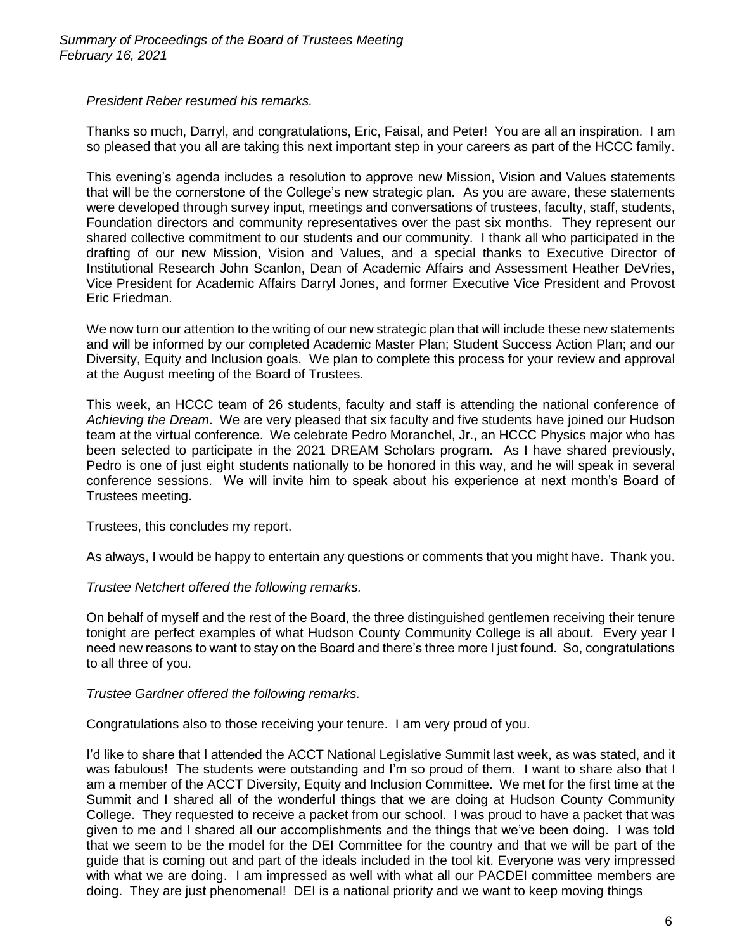*President Reber resumed his remarks.*

Thanks so much, Darryl, and congratulations, Eric, Faisal, and Peter! You are all an inspiration. I am so pleased that you all are taking this next important step in your careers as part of the HCCC family.

This evening's agenda includes a resolution to approve new Mission, Vision and Values statements that will be the cornerstone of the College's new strategic plan. As you are aware, these statements were developed through survey input, meetings and conversations of trustees, faculty, staff, students, Foundation directors and community representatives over the past six months. They represent our shared collective commitment to our students and our community. I thank all who participated in the drafting of our new Mission, Vision and Values, and a special thanks to Executive Director of Institutional Research John Scanlon, Dean of Academic Affairs and Assessment Heather DeVries, Vice President for Academic Affairs Darryl Jones, and former Executive Vice President and Provost Eric Friedman.

We now turn our attention to the writing of our new strategic plan that will include these new statements and will be informed by our completed Academic Master Plan; Student Success Action Plan; and our Diversity, Equity and Inclusion goals. We plan to complete this process for your review and approval at the August meeting of the Board of Trustees.

This week, an HCCC team of 26 students, faculty and staff is attending the national conference of *Achieving the Dream*. We are very pleased that six faculty and five students have joined our Hudson team at the virtual conference. We celebrate Pedro Moranchel, Jr., an HCCC Physics major who has been selected to participate in the 2021 DREAM Scholars program. As I have shared previously, Pedro is one of just eight students nationally to be honored in this way, and he will speak in several conference sessions. We will invite him to speak about his experience at next month's Board of Trustees meeting.

Trustees, this concludes my report.

As always, I would be happy to entertain any questions or comments that you might have. Thank you.

*Trustee Netchert offered the following remarks.*

On behalf of myself and the rest of the Board, the three distinguished gentlemen receiving their tenure tonight are perfect examples of what Hudson County Community College is all about. Every year I need new reasons to want to stay on the Board and there's three more I just found. So, congratulations to all three of you.

## *Trustee Gardner offered the following remarks.*

Congratulations also to those receiving your tenure. I am very proud of you.

I'd like to share that I attended the ACCT National Legislative Summit last week, as was stated, and it was fabulous! The students were outstanding and I'm so proud of them. I want to share also that I am a member of the ACCT Diversity, Equity and Inclusion Committee. We met for the first time at the Summit and I shared all of the wonderful things that we are doing at Hudson County Community College. They requested to receive a packet from our school. I was proud to have a packet that was given to me and I shared all our accomplishments and the things that we've been doing. I was told that we seem to be the model for the DEI Committee for the country and that we will be part of the guide that is coming out and part of the ideals included in the tool kit. Everyone was very impressed with what we are doing. I am impressed as well with what all our PACDEI committee members are doing. They are just phenomenal! DEI is a national priority and we want to keep moving things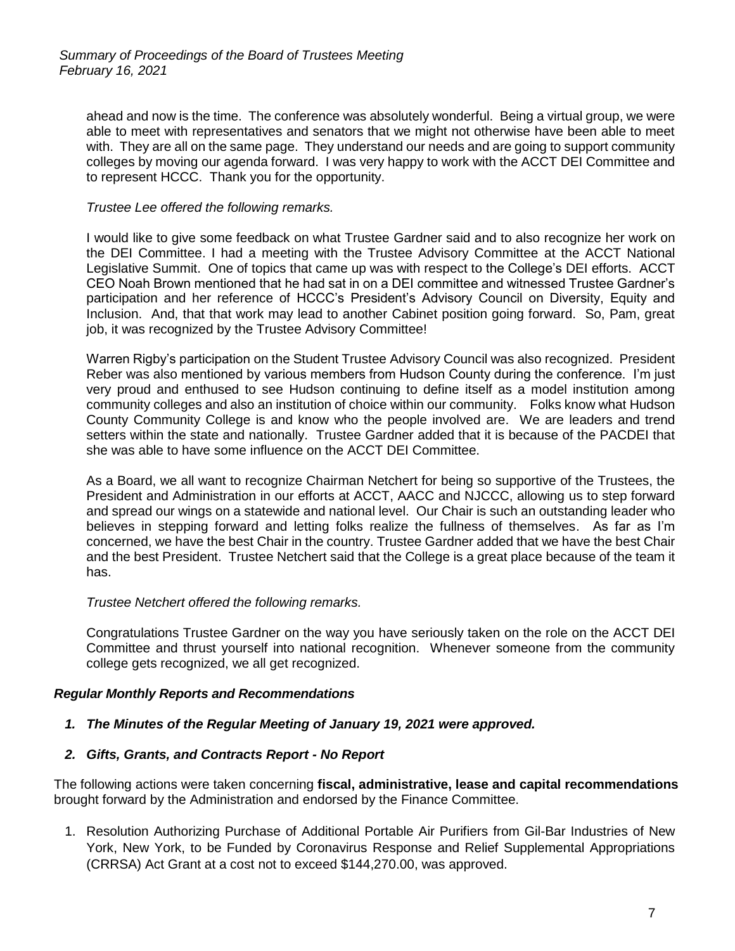ahead and now is the time. The conference was absolutely wonderful. Being a virtual group, we were able to meet with representatives and senators that we might not otherwise have been able to meet with. They are all on the same page. They understand our needs and are going to support community colleges by moving our agenda forward. I was very happy to work with the ACCT DEI Committee and to represent HCCC. Thank you for the opportunity.

#### *Trustee Lee offered the following remarks.*

I would like to give some feedback on what Trustee Gardner said and to also recognize her work on the DEI Committee. I had a meeting with the Trustee Advisory Committee at the ACCT National Legislative Summit. One of topics that came up was with respect to the College's DEI efforts. ACCT CEO Noah Brown mentioned that he had sat in on a DEI committee and witnessed Trustee Gardner's participation and her reference of HCCC's President's Advisory Council on Diversity, Equity and Inclusion. And, that that work may lead to another Cabinet position going forward. So, Pam, great job, it was recognized by the Trustee Advisory Committee!

Warren Rigby's participation on the Student Trustee Advisory Council was also recognized. President Reber was also mentioned by various members from Hudson County during the conference. I'm just very proud and enthused to see Hudson continuing to define itself as a model institution among community colleges and also an institution of choice within our community. Folks know what Hudson County Community College is and know who the people involved are. We are leaders and trend setters within the state and nationally. Trustee Gardner added that it is because of the PACDEI that she was able to have some influence on the ACCT DEI Committee.

As a Board, we all want to recognize Chairman Netchert for being so supportive of the Trustees, the President and Administration in our efforts at ACCT, AACC and NJCCC, allowing us to step forward and spread our wings on a statewide and national level. Our Chair is such an outstanding leader who believes in stepping forward and letting folks realize the fullness of themselves. As far as I'm concerned, we have the best Chair in the country. Trustee Gardner added that we have the best Chair and the best President. Trustee Netchert said that the College is a great place because of the team it has.

#### *Trustee Netchert offered the following remarks.*

Congratulations Trustee Gardner on the way you have seriously taken on the role on the ACCT DEI Committee and thrust yourself into national recognition. Whenever someone from the community college gets recognized, we all get recognized.

## *Regular Monthly Reports and Recommendations*

## *1. The Minutes of the Regular Meeting of January 19, 2021 were approved.*

#### *2. Gifts, Grants, and Contracts Report - No Report*

The following actions were taken concerning **fiscal, administrative, lease and capital recommendations** brought forward by the Administration and endorsed by the Finance Committee.

1. Resolution Authorizing Purchase of Additional Portable Air Purifiers from Gil-Bar Industries of New York, New York, to be Funded by Coronavirus Response and Relief Supplemental Appropriations (CRRSA) Act Grant at a cost not to exceed \$144,270.00, was approved.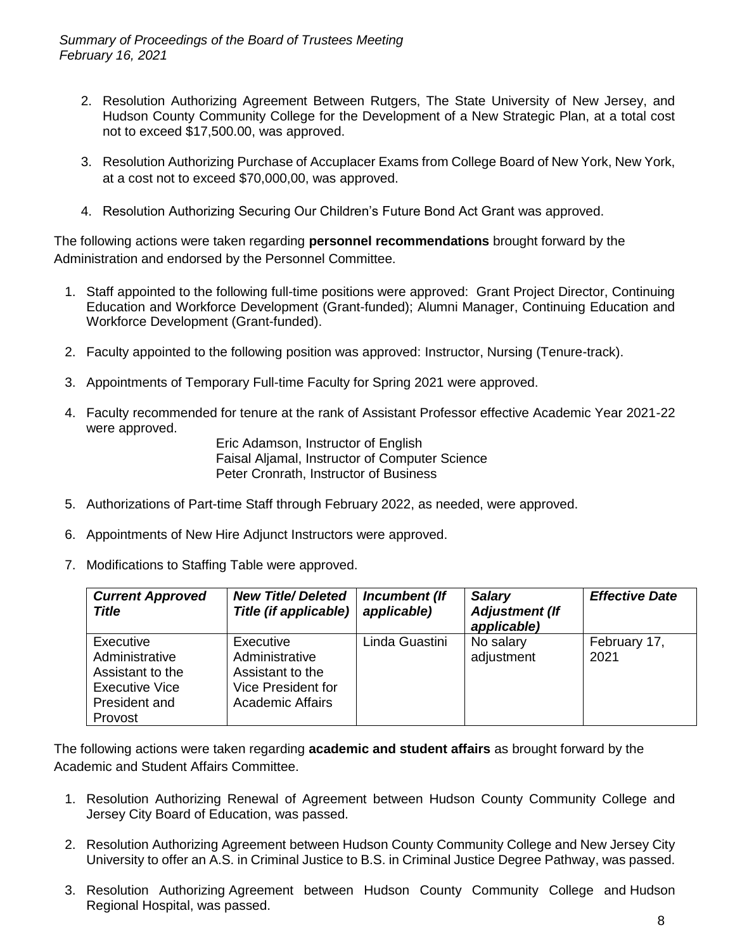*Summary of Proceedings of the Board of Trustees Meeting February 16, 2021*

- 2. Resolution Authorizing Agreement Between Rutgers, The State University of New Jersey, and Hudson County Community College for the Development of a New Strategic Plan, at a total cost not to exceed \$17,500.00, was approved.
- 3. Resolution Authorizing Purchase of Accuplacer Exams from College Board of New York, New York, at a cost not to exceed \$70,000,00, was approved.
- 4. Resolution Authorizing Securing Our Children's Future Bond Act Grant was approved.

The following actions were taken regarding **personnel recommendations** brought forward by the Administration and endorsed by the Personnel Committee.

- 1. Staff appointed to the following full-time positions were approved: Grant Project Director, Continuing Education and Workforce Development (Grant-funded); Alumni Manager, Continuing Education and Workforce Development (Grant-funded).
- 2. Faculty appointed to the following position was approved: Instructor, Nursing (Tenure-track).
- 3. Appointments of Temporary Full-time Faculty for Spring 2021 were approved.
- 4. Faculty recommended for tenure at the rank of Assistant Professor effective Academic Year 2021-22 were approved.

Eric Adamson, Instructor of English Faisal Aljamal, Instructor of Computer Science Peter Cronrath, Instructor of Business

- 5. Authorizations of Part-time Staff through February 2022, as needed, were approved.
- 6. Appointments of New Hire Adjunct Instructors were approved.
- 7. Modifications to Staffing Table were approved.

| <b>Current Approved</b><br><b>Title</b>                                                              | <b>New Title/Deleted</b><br>Title (if applicable)                                                | Incumbent (If<br>applicable) | <b>Salary</b><br><b>Adjustment (If</b><br>applicable) | <b>Effective Date</b> |
|------------------------------------------------------------------------------------------------------|--------------------------------------------------------------------------------------------------|------------------------------|-------------------------------------------------------|-----------------------|
| Executive<br>Administrative<br>Assistant to the<br><b>Executive Vice</b><br>President and<br>Provost | Executive<br>Administrative<br>Assistant to the<br>Vice President for<br><b>Academic Affairs</b> | Linda Guastini               | No salary<br>adjustment                               | February 17,<br>2021  |

The following actions were taken regarding **academic and student affairs** as brought forward by the Academic and Student Affairs Committee.

- 1. Resolution Authorizing Renewal of Agreement between Hudson County Community College and Jersey City Board of Education, was passed.
- 2. Resolution Authorizing Agreement between Hudson County Community College and New Jersey City University to offer an A.S. in Criminal Justice to B.S. in Criminal Justice Degree Pathway, was passed.
- 3. Resolution Authorizing Agreement between Hudson County Community College and Hudson Regional Hospital, was passed.